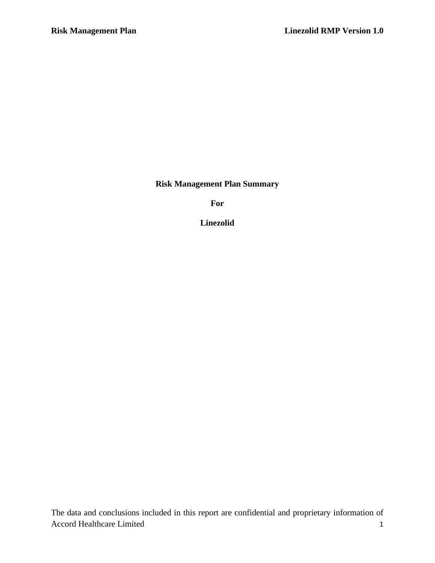**Risk Management Plan Summary**

**For**

**Linezolid**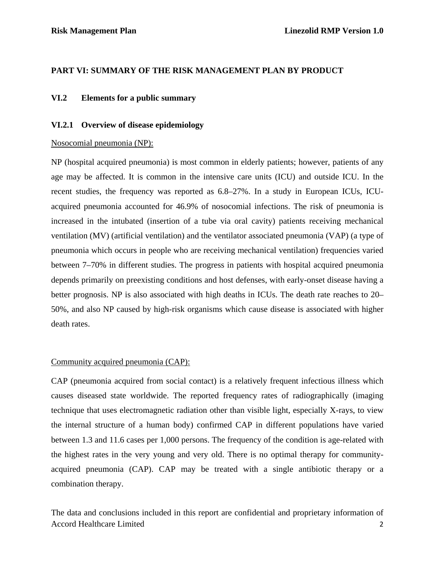## **PART VI: SUMMARY OF THE RISK MANAGEMENT PLAN BY PRODUCT**

### **VI.2 Elements for a public summary**

### **VI.2.1 Overview of disease epidemiology**

### Nosocomial pneumonia (NP):

NP (hospital acquired pneumonia) is most common in elderly patients; however, patients of any age may be affected. It is common in the intensive care units (ICU) and outside ICU. In the recent studies, the frequency was reported as 6.8–27%. In a study in European ICUs, ICUacquired pneumonia accounted for 46.9% of nosocomial infections. The risk of pneumonia is increased in the intubated (insertion of a tube via oral cavity) patients receiving mechanical ventilation (MV) (artificial ventilation) and the ventilator associated pneumonia (VAP) (a type of pneumonia which occurs in people who are receiving mechanical ventilation) frequencies varied between 7–70% in different studies. The progress in patients with hospital acquired pneumonia depends primarily on preexisting conditions and host defenses, with early-onset disease having a better prognosis. NP is also associated with high deaths in ICUs. The death rate reaches to 20– 50%, and also NP caused by high-risk organisms which cause disease is associated with higher death rates.

### Community acquired pneumonia (CAP):

CAP (pneumonia acquired from social contact) is a relatively frequent infectious illness which causes diseased state worldwide. The reported frequency rates of radiographically (imaging technique that uses electromagnetic radiation other than visible light, especially X-rays, to view the internal structure of a human body) confirmed CAP in different populations have varied between 1.3 and 11.6 cases per 1,000 persons. The frequency of the condition is age-related with the highest rates in the very young and very old. There is no optimal therapy for communityacquired pneumonia (CAP). CAP may be treated with a single antibiotic therapy or a combination therapy.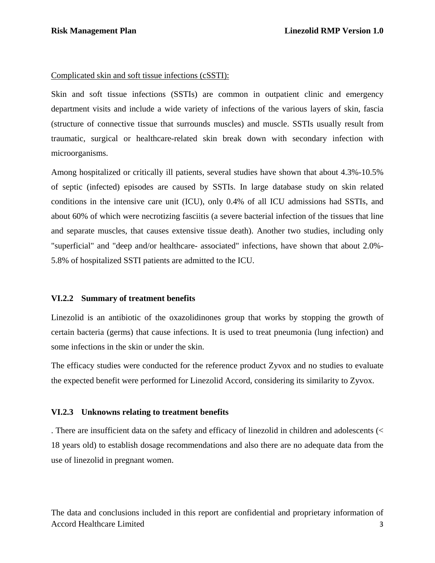#### Complicated skin and soft tissue infections (cSSTI):

Skin and soft tissue infections (SSTIs) are common in outpatient clinic and emergency department visits and include a wide variety of infections of the various layers of skin, fascia (structure of connective tissue that surrounds muscles) and muscle. SSTIs usually result from traumatic, surgical or healthcare-related skin break down with secondary infection with microorganisms.

Among hospitalized or critically ill patients, several studies have shown that about 4.3%-10.5% of septic (infected) episodes are caused by SSTIs. In large database study on skin related conditions in the intensive care unit (ICU), only 0.4% of all ICU admissions had SSTIs, and about 60% of which were necrotizing fasciitis (a severe bacterial infection of the tissues that line and separate muscles, that causes extensive tissue death). Another two studies, including only "superficial" and "deep and/or healthcare- associated" infections, have shown that about 2.0%- 5.8% of hospitalized SSTI patients are admitted to the ICU.

### **VI.2.2 Summary of treatment benefits**

Linezolid is an antibiotic of the oxazolidinones group that works by stopping the growth of certain bacteria (germs) that cause infections. It is used to treat pneumonia (lung infection) and some infections in the skin or under the skin.

The efficacy studies were conducted for the reference product Zyvox and no studies to evaluate the expected benefit were performed for Linezolid Accord, considering its similarity to Zyvox.

### **VI.2.3 Unknowns relating to treatment benefits**

. There are insufficient data on the safety and efficacy of linezolid in children and adolescents (< 18 years old) to establish dosage recommendations and also there are no adequate data from the use of linezolid in pregnant women.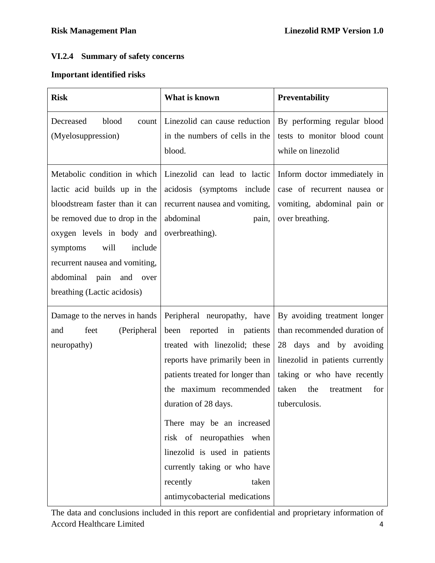# **VI.2.4 Summary of safety concerns**

## **Important identified risks**

| <b>Risk</b>                                                                                                                                                                                                                                                                                      | What is known                                                                                                                                                                                                                                                                                                                                                                                       | <b>Preventability</b>                                                                                                                                                                                          |
|--------------------------------------------------------------------------------------------------------------------------------------------------------------------------------------------------------------------------------------------------------------------------------------------------|-----------------------------------------------------------------------------------------------------------------------------------------------------------------------------------------------------------------------------------------------------------------------------------------------------------------------------------------------------------------------------------------------------|----------------------------------------------------------------------------------------------------------------------------------------------------------------------------------------------------------------|
| Decreased<br>blood<br>count<br>(Myelosuppression)                                                                                                                                                                                                                                                | Linezolid can cause reduction<br>in the numbers of cells in the<br>blood.                                                                                                                                                                                                                                                                                                                           | By performing regular blood<br>tests to monitor blood count<br>while on linezolid                                                                                                                              |
| Metabolic condition in which<br>lactic acid builds up in the<br>bloodstream faster than it can<br>be removed due to drop in the<br>oxygen levels in body and<br>will<br>include<br>symptoms<br>recurrent nausea and vomiting,<br>abdominal<br>pain<br>and<br>over<br>breathing (Lactic acidosis) | Linezolid can lead to lactic<br>acidosis (symptoms include<br>recurrent nausea and vomiting,<br>abdominal<br>pain,<br>overbreathing).                                                                                                                                                                                                                                                               | Inform doctor immediately in<br>case of recurrent nausea or<br>vomiting, abdominal pain or<br>over breathing.                                                                                                  |
| Damage to the nerves in hands<br>(Peripheral<br>and<br>feet<br>neuropathy)                                                                                                                                                                                                                       | Peripheral neuropathy, have<br>been reported in patients<br>treated with linezolid; these<br>reports have primarily been in<br>patients treated for longer than<br>the maximum recommended<br>duration of 28 days.<br>There may be an increased<br>risk of neuropathies when<br>linezolid is used in patients<br>currently taking or who have<br>taken<br>recently<br>antimycobacterial medications | By avoiding treatment longer<br>than recommended duration of<br>28 days and by avoiding<br>linezolid in patients currently<br>taking or who have recently<br>taken<br>the<br>for<br>treatment<br>tuberculosis. |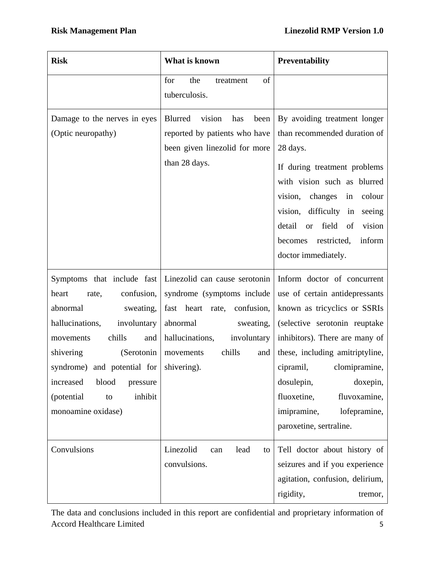| <b>Risk</b>                                                                                                                                                                                                                                                                                                     | What is known                                                                                                                                                                          | <b>Preventability</b>                                                                                                                                                                                                                                                                                                                             |
|-----------------------------------------------------------------------------------------------------------------------------------------------------------------------------------------------------------------------------------------------------------------------------------------------------------------|----------------------------------------------------------------------------------------------------------------------------------------------------------------------------------------|---------------------------------------------------------------------------------------------------------------------------------------------------------------------------------------------------------------------------------------------------------------------------------------------------------------------------------------------------|
|                                                                                                                                                                                                                                                                                                                 | of<br>for<br>the<br>treatment<br>tuberculosis.                                                                                                                                         |                                                                                                                                                                                                                                                                                                                                                   |
| Damage to the nerves in eyes<br>(Optic neuropathy)                                                                                                                                                                                                                                                              | Blurred<br>vision<br>has<br>been<br>reported by patients who have<br>been given linezolid for more<br>than 28 days.                                                                    | By avoiding treatment longer<br>than recommended duration of<br>28 days.<br>If during treatment problems<br>with vision such as blurred<br>vision,<br>changes<br>in<br>colour<br>vision, difficulty<br>in<br>seeing<br>detail<br>field<br>vision<br><b>or</b><br>of<br>restricted,<br>inform<br>becomes<br>doctor immediately.                    |
| Symptoms that include fast<br>confusion,<br>heart<br>rate,<br>abnormal<br>sweating,<br>hallucinations,<br>involuntary<br>chills<br>movements<br>and<br>shivering<br>(Serotonin<br>syndrome) and potential for shivering.<br>increased<br>blood<br>pressure<br>inhibit<br>(potential<br>to<br>monoamine oxidase) | Linezolid can cause serotonin<br>syndrome (symptoms include<br>fast heart rate,<br>confusion,<br>abnormal<br>sweating,<br>hallucinations,<br>involuntary<br>chills<br>and<br>movements | Inform doctor of concurrent<br>use of certain antidepressants<br>known as tricyclics or SSRIs<br>(selective serotonin reuptake<br>inhibitors). There are many of<br>these, including amitriptyline,<br>cipramil, clomipramine,<br>dosulepin,<br>doxepin,<br>fluvoxamine,<br>fluoxetine,<br>imipramine,<br>lofepramine,<br>paroxetine, sertraline. |
| Convulsions                                                                                                                                                                                                                                                                                                     | Linezolid<br>lead<br>can<br>to<br>convulsions.                                                                                                                                         | Tell doctor about history of<br>seizures and if you experience<br>agitation, confusion, delirium,<br>rigidity,<br>tremor,                                                                                                                                                                                                                         |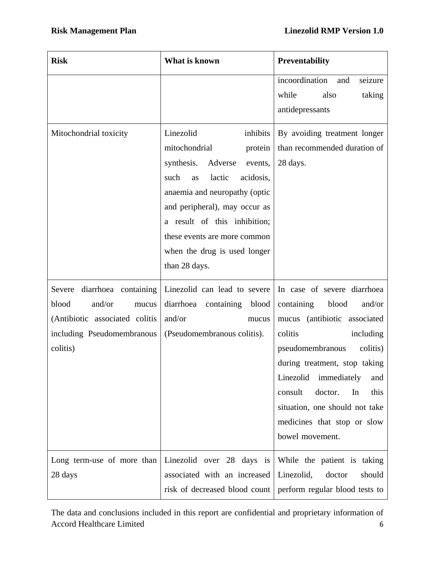| <b>Risk</b>                                                                                                                            | What is known                                                                                                                                                                                                                                                                                                 | Preventability                                                                                                                                                                                                                                                                                                                                   |
|----------------------------------------------------------------------------------------------------------------------------------------|---------------------------------------------------------------------------------------------------------------------------------------------------------------------------------------------------------------------------------------------------------------------------------------------------------------|--------------------------------------------------------------------------------------------------------------------------------------------------------------------------------------------------------------------------------------------------------------------------------------------------------------------------------------------------|
|                                                                                                                                        |                                                                                                                                                                                                                                                                                                               | incoordination<br>seizure<br>and<br>while<br>also<br>taking<br>antidepressants                                                                                                                                                                                                                                                                   |
| Mitochondrial toxicity                                                                                                                 | Linezolid<br>inhibits<br>mitochondrial<br>protein<br>synthesis.<br>Adverse<br>events,<br>such<br>lactic<br>acidosis,<br>as<br>anaemia and neuropathy (optic<br>and peripheral), may occur as<br>a result of this inhibition;<br>these events are more common<br>when the drug is used longer<br>than 28 days. | By avoiding treatment longer<br>than recommended duration of<br>28 days.                                                                                                                                                                                                                                                                         |
| diarrhoea containing<br>Severe<br>blood<br>and/or<br>mucus<br>(Antibiotic associated colitis<br>including Pseudomembranous<br>colitis) | Linezolid can lead to severe<br>diarrhoea containing<br>blood<br>and/or<br>mucus<br>(Pseudomembranous colitis).                                                                                                                                                                                               | In case of severe diarrhoea<br>containing<br>blood<br>and/or<br>mucus (antibiotic associated<br>colitis<br>including<br>pseudomembranous<br>colitis)<br>during treatment, stop taking<br>Linezolid<br>immediately<br>and<br>consult<br>doctor.<br>In<br>this<br>situation, one should not take<br>medicines that stop or slow<br>bowel movement. |
| Long term-use of more than<br>28 days                                                                                                  | Linezolid over 28 days is<br>associated with an increased<br>risk of decreased blood count                                                                                                                                                                                                                    | While the patient is taking<br>Linezolid,<br>doctor<br>should<br>perform regular blood tests to                                                                                                                                                                                                                                                  |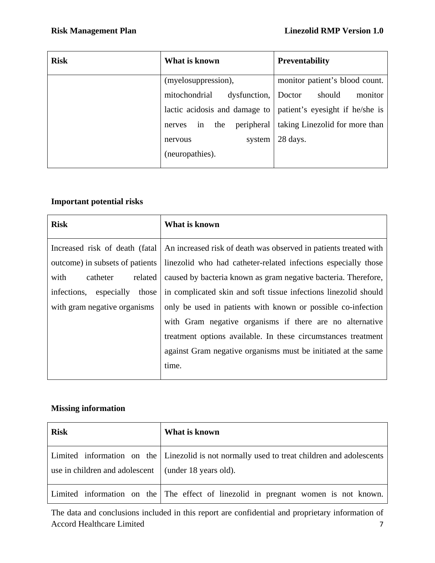| <b>Risk</b> | What is known                     | <b>Preventability</b>           |
|-------------|-----------------------------------|---------------------------------|
|             | (myelosuppression),               | monitor patient's blood count.  |
|             | mitochondrial<br>dysfunction,     | should<br>monitor<br>Doctor     |
|             | lactic acidosis and damage to     | patient's eyesight if he/she is |
|             | peripheral<br>the<br>in<br>nerves | taking Linezolid for more than  |
|             | system<br>nervous                 | 28 days.                        |
|             | (neuropathies).                   |                                 |

## **Important potential risks**

| <b>Risk</b>                                                                                                                                                             | What is known                                                                                                                                                                                                                                                                                                                                                                                                                                                        |
|-------------------------------------------------------------------------------------------------------------------------------------------------------------------------|----------------------------------------------------------------------------------------------------------------------------------------------------------------------------------------------------------------------------------------------------------------------------------------------------------------------------------------------------------------------------------------------------------------------------------------------------------------------|
| Increased risk of death (fatal)<br>outcome) in subsets of patients<br>with<br>catheter<br>related<br>those<br>infections,<br>especially<br>with gram negative organisms | An increased risk of death was observed in patients treated with<br>linezolid who had catheter-related infections especially those<br>caused by bacteria known as gram negative bacteria. Therefore,<br>in complicated skin and soft tissue infections linezolid should<br>only be used in patients with known or possible co-infection<br>with Gram negative organisms if there are no alternative<br>treatment options available. In these circumstances treatment |
|                                                                                                                                                                         | against Gram negative organisms must be initiated at the same<br>time.                                                                                                                                                                                                                                                                                                                                                                                               |

# **Missing information**

| <b>Risk</b>                                          | What is known                                                                               |
|------------------------------------------------------|---------------------------------------------------------------------------------------------|
| use in children and adolescent (under 18 years old). | Limited information on the Linezolid is not normally used to treat children and adolescents |
|                                                      | Limited information on the The effect of linezolid in pregnant women is not known.          |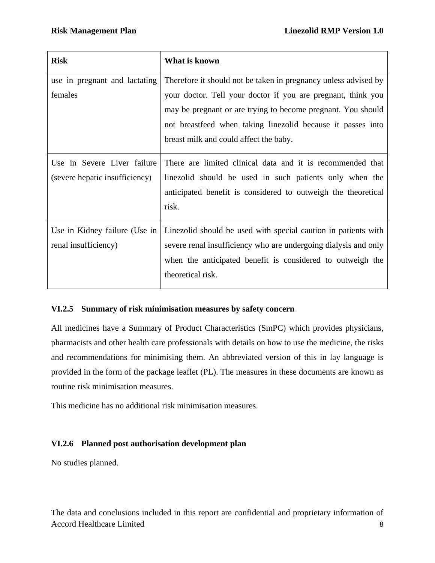| <b>Risk</b>                    | What is known                                                   |
|--------------------------------|-----------------------------------------------------------------|
| use in pregnant and lactating  | Therefore it should not be taken in pregnancy unless advised by |
| females                        | your doctor. Tell your doctor if you are pregnant, think you    |
|                                | may be pregnant or are trying to become pregnant. You should    |
|                                | not breastfeed when taking linezolid because it passes into     |
|                                | breast milk and could affect the baby.                          |
| Use in Severe Liver failure    | There are limited clinical data and it is recommended that      |
| (severe hepatic insufficiency) | linezolid should be used in such patients only when the         |
|                                | anticipated benefit is considered to outweigh the theoretical   |
|                                | risk.                                                           |
| Use in Kidney failure (Use in  | Linezolid should be used with special caution in patients with  |
| renal insufficiency)           | severe renal insufficiency who are undergoing dialysis and only |
|                                | when the anticipated benefit is considered to outweigh the      |
|                                | theoretical risk.                                               |

### **VI.2.5 Summary of risk minimisation measures by safety concern**

All medicines have a Summary of Product Characteristics (SmPC) which provides physicians, pharmacists and other health care professionals with details on how to use the medicine, the risks and recommendations for minimising them. An abbreviated version of this in lay language is provided in the form of the package leaflet (PL). The measures in these documents are known as routine risk minimisation measures.

This medicine has no additional risk minimisation measures.

## **VI.2.6 Planned post authorisation development plan**

No studies planned.